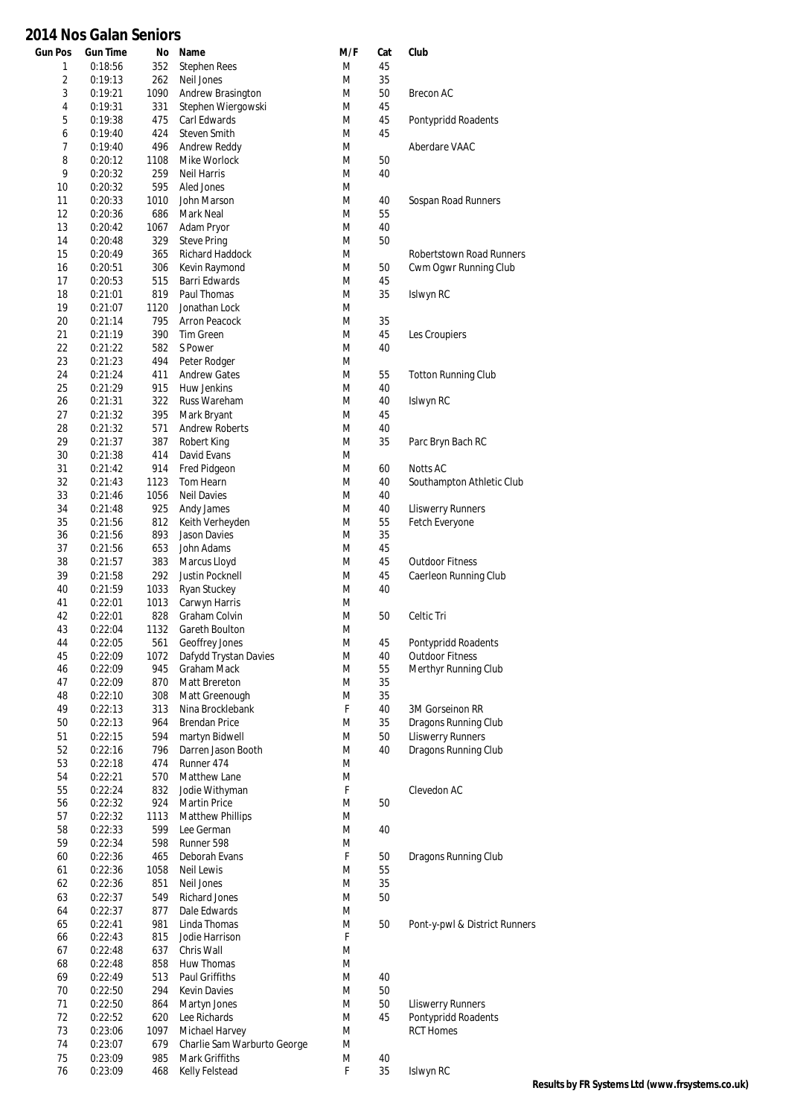| <b>Gun Pos</b>          | <b>Gun Time</b>    | No          | Name                             | M/F    | Cat      | Club                          |
|-------------------------|--------------------|-------------|----------------------------------|--------|----------|-------------------------------|
| 1                       | 0:18:56            | 352         | <b>Stephen Rees</b>              | M      | 45       |                               |
| $\overline{\mathbf{c}}$ | 0:19:13            | 262         | Neil Jones                       | M      | 35       |                               |
| 3                       | 0:19:21            | 1090        | Andrew Brasington                | M      | 50       | <b>Brecon AC</b>              |
| 4                       | 0:19:31            | 331         | Stephen Wiergowski               | M      | 45       |                               |
| 5                       | 0:19:38            | 475         | Carl Edwards                     | M      | 45       | Pontypridd Roadents           |
| 6                       | 0:19:40            | 424         | <b>Steven Smith</b>              | M      | 45       |                               |
| 7                       | 0:19:40            | 496         | Andrew Reddy                     | M      |          | Aberdare VAAC                 |
| 8                       | 0:20:12            | 1108        | Mike Worlock                     | M      | 50       |                               |
| 9                       | 0:20:32            | 259         | <b>Neil Harris</b>               | M      | 40       |                               |
| 10                      | 0:20:32            | 595         | Aled Jones                       | M      |          |                               |
| 11                      | 0:20:33            | 1010        | John Marson                      | M      | 40       | Sospan Road Runners           |
| 12                      | 0:20:36            | 686         | Mark Neal                        | M      | 55       |                               |
| 13<br>14                | 0:20:42<br>0:20:48 | 1067<br>329 | Adam Pryor<br><b>Steve Pring</b> | M<br>M | 40<br>50 |                               |
| 15                      | 0:20:49            | 365         | Richard Haddock                  | M      |          | Robertstown Road Runners      |
| 16                      | 0:20:51            | 306         | Kevin Raymond                    | M      | 50       | Cwm Ogwr Running Club         |
| 17                      | 0:20:53            | 515         | Barri Edwards                    | M      | 45       |                               |
| 18                      | 0:21:01            | 819         | Paul Thomas                      | M      | 35       | Islwyn RC                     |
| 19                      | 0:21:07            | 1120        | Jonathan Lock                    | M      |          |                               |
| 20                      | 0:21:14            | 795         | <b>Arron Peacock</b>             | M      | 35       |                               |
| 21                      | 0:21:19            | 390         | <b>Tim Green</b>                 | M      | 45       | Les Croupiers                 |
| 22                      | 0:21:22            | 582         | S Power                          | M      | 40       |                               |
| 23                      | 0:21:23            | 494         | Peter Rodger                     | M      |          |                               |
| 24                      | 0:21:24            | 411         | <b>Andrew Gates</b>              | M      | 55       | <b>Totton Running Club</b>    |
| 25                      | 0:21:29            | 915         | Huw Jenkins                      | M      | 40       |                               |
| 26                      | 0:21:31            | 322         | Russ Wareham                     | M      | 40       | Islwyn RC                     |
| 27                      | 0:21:32            | 395         | Mark Bryant                      | M      | 45       |                               |
| 28                      | 0:21:32            | 571         | <b>Andrew Roberts</b>            | M      | 40       |                               |
| 29                      | 0:21:37            | 387         | Robert King                      | M      | 35       | Parc Bryn Bach RC             |
| 30                      | 0:21:38            | 414         | David Evans                      | M      |          |                               |
| 31                      | 0:21:42            | 914         | Fred Pidgeon                     | M      | 60       | <b>Notts AC</b>               |
| 32                      | 0:21:43            | 1123        | Tom Hearn                        | M      | 40       | Southampton Athletic Club     |
| 33                      | 0:21:46            | 1056        | <b>Neil Davies</b>               | M      | 40       |                               |
| 34                      | 0:21:48            | 925         | Andy James                       | M      | 40       | <b>Lliswerry Runners</b>      |
| 35                      | 0:21:56            | 812         | Keith Verheyden                  | M      | 55       | Fetch Everyone                |
| 36                      | 0:21:56            | 893         | Jason Davies                     | M      | 35       |                               |
| 37                      | 0:21:56            | 653         | John Adams                       | M      | 45       |                               |
| 38                      | 0:21:57            | 383         | Marcus Lloyd                     | M      | 45       | <b>Outdoor Fitness</b>        |
| 39                      | 0:21:58            | 292         | Justin Pocknell                  | M      | 45       | Caerleon Running Club         |
| 40                      | 0:21:59            | 1033        | Ryan Stuckey                     | M      | 40       |                               |
| 41                      | 0:22:01            | 1013        | Carwyn Harris                    | M      |          |                               |
| 42                      | 0:22:01            | 828         | Graham Colvin                    | M      | 50       | Celtic Tri                    |
| 43                      | 0:22:04            | 1132        | Gareth Boulton                   | M      |          |                               |
| 44                      | 0:22:05            | 561         | Geoffrey Jones                   | M      | 45       | Pontypridd Roadents           |
| 45                      | 0:22:09            | 1072        | Dafydd Trystan Davies            | M      | 40       | <b>Outdoor Fitness</b>        |
| 46                      | 0:22:09            | 945         | Graham Mack                      | M      | 55       | Merthyr Running Club          |
| 47<br>48                | 0:22:09            | 870<br>308  | Matt Brereton<br>Matt Greenough  | M<br>M | 35<br>35 |                               |
| 49                      | 0:22:10<br>0:22:13 | 313         | Nina Brocklebank                 | F      | 40       | 3M Gorseinon RR               |
| 50                      | 0:22:13            | 964         | <b>Brendan Price</b>             | M      | 35       | Dragons Running Club          |
| 51                      | 0:22:15            | 594         | martyn Bidwell                   | M      | 50       | <b>Lliswerry Runners</b>      |
| 52                      | 0:22:16            | 796         | Darren Jason Booth               | M      | 40       | Dragons Running Club          |
| 53                      | 0:22:18            | 474         | Runner 474                       | M      |          |                               |
| 54                      | 0:22:21            | 570         | Matthew Lane                     | M      |          |                               |
| 55                      | 0:22:24            | 832         | Jodie Withyman                   | F      |          | Clevedon AC                   |
| 56                      | 0:22:32            | 924         | <b>Martin Price</b>              | M      | 50       |                               |
| 57                      | 0:22:32            | 1113        | <b>Matthew Phillips</b>          | M      |          |                               |
| 58                      | 0:22:33            | 599         | Lee German                       | M      | 40       |                               |
| 59                      | 0:22:34            | 598         | Runner 598                       | M      |          |                               |
| 60                      | 0:22:36            | 465         | Deborah Evans                    | F      | 50       | Dragons Running Club          |
| 61                      | 0:22:36            | 1058        | Neil Lewis                       | M      | 55       |                               |
| 62                      | 0:22:36            | 851         | Neil Jones                       | M      | 35       |                               |
| 63                      | 0:22:37            | 549         | <b>Richard Jones</b>             | M      | 50       |                               |
| 64                      | 0:22:37            | 877         | Dale Edwards                     | M      |          |                               |
| 65                      | 0:22:41            | 981         | Linda Thomas                     | M      | 50       | Pont-y-pwl & District Runners |
| 66                      | 0:22:43            | 815         | Jodie Harrison                   | F      |          |                               |
| 67                      | 0:22:48            | 637         | Chris Wall                       | M      |          |                               |
| 68                      | 0:22:48            | 858         | Huw Thomas                       | M      |          |                               |
| 69                      | 0:22:49            | 513         | Paul Griffiths                   | M      | 40       |                               |
| 70                      | 0:22:50            | 294         | Kevin Davies                     | M      | 50       |                               |
| 71                      | 0:22:50            | 864         | Martyn Jones                     | M      | 50       | <b>Lliswerry Runners</b>      |
| 72                      | 0:22:52            | 620         | Lee Richards                     | M      | 45       | Pontypridd Roadents           |
| 73                      | 0:23:06            | 1097        | Michael Harvey                   | M      |          | <b>RCT Homes</b>              |
| 74                      | 0:23:07            | 679         | Charlie Sam Warburto George      | M      |          |                               |
| 75                      | 0:23:09            | 985         | Mark Griffiths                   | M      | 40       |                               |
| 76                      | 0:23:09            | 468         | Kelly Felstead                   | F      | 35       | Islwyn RC                     |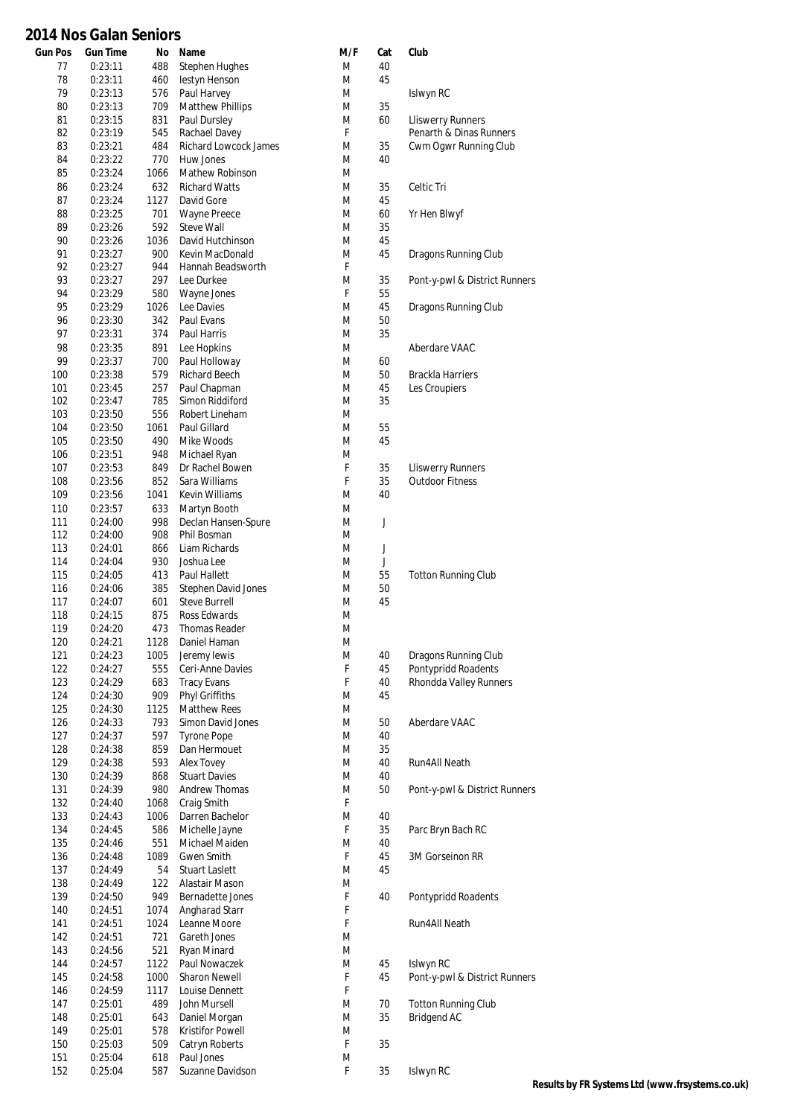| <b>Gun Pos</b> | <b>Gun Time</b>    | No           | Name                                           | M/F    | Cat      | Club                          |
|----------------|--------------------|--------------|------------------------------------------------|--------|----------|-------------------------------|
| 77             | 0:23:11            | 488          | Stephen Hughes                                 | M      | 40       |                               |
| 78             | 0:23:11            | 460          | lestyn Henson                                  | M      | 45       |                               |
| 79             | 0:23:13            | 576          | Paul Harvey                                    | M      |          | Islwyn RC                     |
| 80<br>81       | 0:23:13<br>0:23:15 | 709<br>831   | <b>Matthew Phillips</b><br>Paul Dursley        | M<br>M | 35<br>60 | <b>Lliswerry Runners</b>      |
| 82             | 0:23:19            | 545          | Rachael Davey                                  | F      |          | Penarth & Dinas Runners       |
| 83             | 0:23:21            | 484          | <b>Richard Lowcock James</b>                   | M      | 35       | Cwm Ogwr Running Club         |
| 84             | 0:23:22            | 770          | Huw Jones                                      | M      | 40       |                               |
| 85             | 0:23:24            | 1066         | Mathew Robinson                                | M      |          |                               |
| 86             | 0:23:24            | 632          | <b>Richard Watts</b>                           | M      | 35       | Celtic Tri                    |
| 87             | 0:23:24            | 1127         | David Gore                                     | M      | 45       |                               |
| 88             | 0:23:25            | 701          | <b>Wayne Preece</b>                            | M      | 60       | Yr Hen Blwyf                  |
| 89<br>90       | 0:23:26<br>0:23:26 | 592<br>1036  | Steve Wall<br>David Hutchinson                 | M<br>M | 35<br>45 |                               |
| 91             | 0:23:27            | 900          | Kevin MacDonald                                | M      | 45       | Dragons Running Club          |
| 92             | 0:23:27            | 944          | Hannah Beadsworth                              | F      |          |                               |
| 93             | 0:23:27            | 297          | Lee Durkee                                     | M      | 35       | Pont-y-pwl & District Runners |
| 94             | 0:23:29            | 580          | Wayne Jones                                    | F      | 55       |                               |
| 95             | 0:23:29            | 1026         | Lee Davies                                     | M      | 45       | Dragons Running Club          |
| 96             | 0:23:30            | 342          | Paul Evans                                     | M      | 50       |                               |
| 97             | 0:23:31            | 374          | Paul Harris                                    | M      | 35       |                               |
| 98<br>99       | 0:23:35<br>0:23:37 | 891<br>700   | Lee Hopkins<br>Paul Holloway                   | M<br>M | 60       | Aberdare VAAC                 |
| 100            | 0:23:38            | 579          | Richard Beech                                  | M      | 50       | <b>Brackla Harriers</b>       |
| 101            | 0:23:45            | 257          | Paul Chapman                                   | M      | 45       | Les Croupiers                 |
| 102            | 0:23:47            | 785          | Simon Riddiford                                | M      | 35       |                               |
| 103            | 0:23:50            | 556          | Robert Lineham                                 | M      |          |                               |
| 104            | 0:23:50            | 1061         | Paul Gillard                                   | M      | 55       |                               |
| 105            | 0:23:50            | 490          | Mike Woods                                     | M      | 45       |                               |
| 106            | 0:23:51            | 948          | Michael Ryan                                   | M      |          |                               |
| 107            | 0:23:53            | 849          | Dr Rachel Bowen                                | F      | 35       | <b>Lliswerry Runners</b>      |
| 108            | 0:23:56            | 852          | Sara Williams                                  | F      | 35<br>40 | <b>Outdoor Fitness</b>        |
| 109<br>110     | 0:23:56<br>0:23:57 | 1041<br>633  | Kevin Williams<br>Martyn Booth                 | M<br>M |          |                               |
| 111            | 0:24:00            | 998          | Declan Hansen-Spure                            | M      | J        |                               |
| 112            | 0:24:00            | 908          | Phil Bosman                                    | M      |          |                               |
| 113            | 0:24:01            | 866          | Liam Richards                                  | M      | J        |                               |
| 114            | 0:24:04            | 930          | Joshua Lee                                     | M      | J        |                               |
| 115            | 0:24:05            | 413          | Paul Hallett                                   | M      | 55       | <b>Totton Running Club</b>    |
| 116            | 0:24:06            | 385          | Stephen David Jones                            | M      | 50       |                               |
| 117            | 0:24:07            | 601          | <b>Steve Burrell</b>                           | M      | 45       |                               |
| 118<br>119     | 0:24:15<br>0:24:20 | 875<br>473   | Ross Edwards<br><b>Thomas Reader</b>           | M<br>M |          |                               |
| 120            | 0:24:21            | 1128         | Daniel Haman                                   | M      |          |                               |
| 121            | 0:24:23            | 1005         | Jeremy lewis                                   | M      | 40       | Dragons Running Club          |
| 122            | 0:24:27            | 555          | Ceri-Anne Davies                               | F      | 45       | Pontypridd Roadents           |
| 123            | 0:24:29            | 683          | <b>Tracy Evans</b>                             | F      | 40       | Rhondda Valley Runners        |
| 124            | 0:24:30            | 909          | Phyl Griffiths                                 | M      | 45       |                               |
| 125            | 0:24:30            | 1125         | <b>Matthew Rees</b>                            | M      |          |                               |
| 126<br>127     | 0:24:33<br>0:24:37 | 793<br>597   | <b>Simon David Jones</b><br><b>Tyrone Pope</b> | M<br>M | 50<br>40 | Aberdare VAAC                 |
| 128            | 0:24:38            | 859          | Dan Hermouet                                   | M      | 35       |                               |
| 129            | 0:24:38            | 593          | Alex Tovey                                     | M      | 40       | Run4All Neath                 |
| 130            | 0:24:39            | 868          | <b>Stuart Davies</b>                           | M      | 40       |                               |
| 131            | 0:24:39            | 980          | Andrew Thomas                                  | M      | 50       | Pont-y-pwl & District Runners |
| 132            | 0:24:40            | 1068         | Craig Smith                                    | F      |          |                               |
| 133            | 0:24:43            | 1006         | Darren Bachelor                                | M      | 40       |                               |
| 134            | 0:24:45            | 586          | Michelle Jayne                                 | F      | 35       | Parc Bryn Bach RC             |
| 135            | 0:24:46            | 551<br>1089  | Michael Maiden                                 | M      | 40       |                               |
| 136<br>137     | 0:24:48<br>0:24:49 | 54           | Gwen Smith<br><b>Stuart Laslett</b>            | F<br>M | 45<br>45 | 3M Gorseinon RR               |
| 138            | 0:24:49            | 122          | Alastair Mason                                 | M      |          |                               |
| 139            | 0:24:50            | 949          | Bernadette Jones                               | F      | 40       | Pontypridd Roadents           |
| 140            | 0:24:51            | 1074         | Angharad Starr                                 | F      |          |                               |
| 141            | 0:24:51            | 1024         | Leanne Moore                                   | F      |          | Run4All Neath                 |
| 142            | 0:24:51            | 721          | Gareth Jones                                   | M      |          |                               |
| 143            | 0:24:56            | 521          | Ryan Minard                                    | M      |          |                               |
| 144            | 0:24:57            | 1122         | Paul Nowaczek                                  | M      | 45       | Islwyn RC                     |
| 145<br>146     | 0:24:58<br>0:24:59 | 1000<br>1117 | <b>Sharon Newell</b><br>Louise Dennett         | F<br>F | 45       | Pont-y-pwl & District Runners |
| 147            | 0:25:01            | 489          | John Mursell                                   | M      | 70       | <b>Totton Running Club</b>    |
| 148            | 0:25:01            | 643          | Daniel Morgan                                  | M      | 35       | <b>Bridgend AC</b>            |
| 149            | 0:25:01            | 578          | <b>Kristifor Powell</b>                        | M      |          |                               |
| 150            | 0:25:03            | 509          | Catryn Roberts                                 | F      | 35       |                               |
| 151            | 0:25:04            | 618          | Paul Jones                                     | M      |          |                               |
| 152            | 0:25:04            | 587          | Suzanne Davidson                               | F      | 35       | Islwyn RC                     |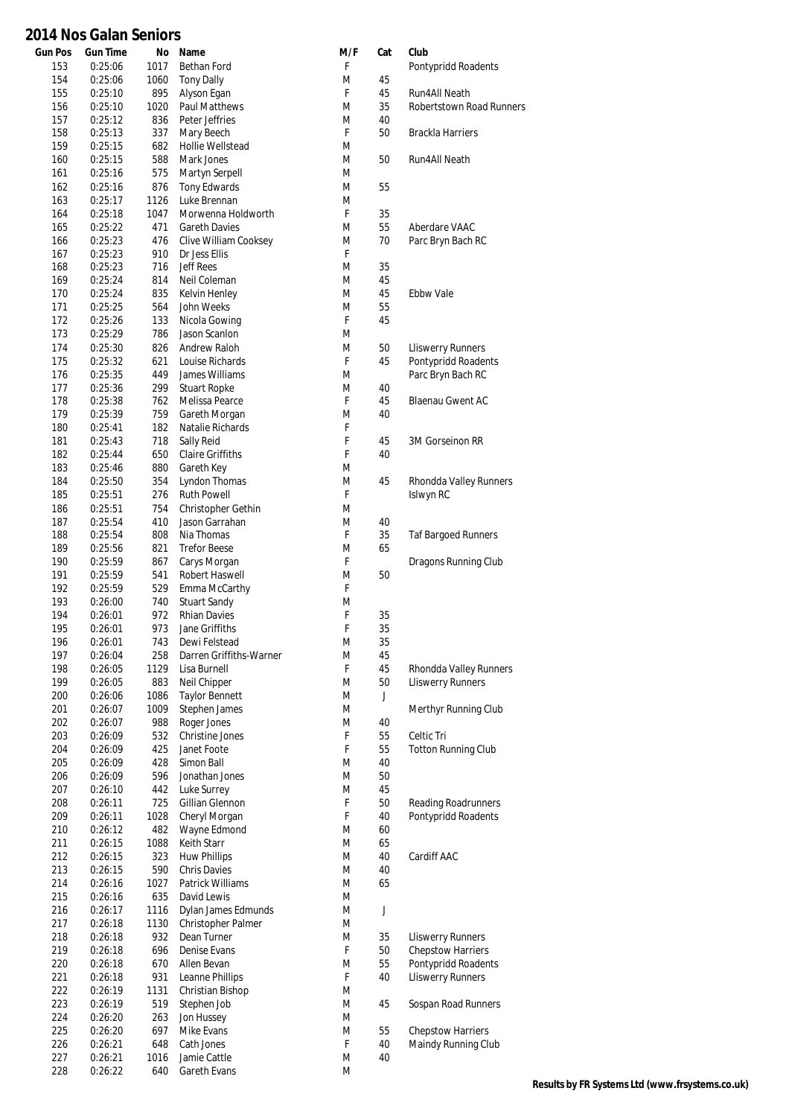| <b>Gun Pos</b> | <b>Gun Time</b>    | Νo          | Name                                       | M/F    | Cat      | Club                                            |
|----------------|--------------------|-------------|--------------------------------------------|--------|----------|-------------------------------------------------|
| 153            | 0:25:06            | 1017        | Bethan Ford                                | F      |          | Pontypridd Roadents                             |
| 154            | 0:25:06            | 1060        | <b>Tony Dally</b>                          | M      | 45       |                                                 |
| 155            | 0:25:10            | 895         | Alyson Egan                                | F      | 45       | <b>Run4All Neath</b>                            |
| 156<br>157     | 0:25:10<br>0:25:12 | 1020<br>836 | <b>Paul Matthews</b><br>Peter Jeffries     | M<br>M | 35<br>40 | Robertstown Road Runners                        |
| 158            | 0:25:13            | 337         | Mary Beech                                 | F.     | 50       | <b>Brackla Harriers</b>                         |
| 159            | 0:25:15            | 682         | Hollie Wellstead                           | M      |          |                                                 |
| 160            | 0:25:15            | 588         | Mark Jones                                 | M      | 50       | Run4All Neath                                   |
| 161            | 0:25:16            | 575         | Martyn Serpell                             | M      |          |                                                 |
| 162            | 0:25:16            | 876         | <b>Tony Edwards</b>                        | M      | 55       |                                                 |
| 163            | 0:25:17            | 1126        | Luke Brennan                               | M<br>F |          |                                                 |
| 164<br>165     | 0:25:18<br>0:25:22 | 1047<br>471 | Morwenna Holdworth<br><b>Gareth Davies</b> | M      | 35<br>55 | Aberdare VAAC                                   |
| 166            | 0:25:23            | 476         | Clive William Cooksey                      | M      | 70       | Parc Bryn Bach RC                               |
| 167            | 0:25:23            | 910         | Dr Jess Ellis                              | F      |          |                                                 |
| 168            | 0:25:23            | 716         | <b>Jeff Rees</b>                           | M      | 35       |                                                 |
| 169            | 0:25:24            | 814         | Neil Coleman                               | M      | 45       |                                                 |
| 170            | 0:25:24            | 835         | Kelvin Henley                              | M      | 45       | Ebbw Vale                                       |
| 171<br>172     | 0:25:25<br>0:25:26 | 564<br>133  | John Weeks<br>Nicola Gowing                | M<br>F | 55<br>45 |                                                 |
| 173            | 0:25:29            | 786         | Jason Scanlon                              | M      |          |                                                 |
| 174            | 0:25:30            | 826         | Andrew Raloh                               | M      | 50       | <b>Lliswerry Runners</b>                        |
| 175            | 0:25:32            | 621         | Louise Richards                            | F      | 45       | Pontypridd Roadents                             |
| 176            | 0:25:35            | 449         | James Williams                             | M      |          | Parc Bryn Bach RC                               |
| 177            | 0:25:36            | 299         | <b>Stuart Ropke</b>                        | M      | 40       |                                                 |
| 178            | 0:25:38            | 762         | Melissa Pearce                             | F      | 45       | <b>Blaenau Gwent AC</b>                         |
| 179            | 0:25:39            | 759         | Gareth Morgan                              | M      | 40       |                                                 |
| 180<br>181     | 0:25:41<br>0:25:43 | 182<br>718  | Natalie Richards<br>Sally Reid             | F<br>F | 45       | 3M Gorseinon RR                                 |
| 182            | 0:25:44            | 650         | <b>Claire Griffiths</b>                    | F      | 40       |                                                 |
| 183            | 0:25:46            | 880         | Gareth Key                                 | M      |          |                                                 |
| 184            | 0:25:50            | 354         | Lyndon Thomas                              | M      | 45       | Rhondda Valley Runners                          |
| 185            | 0:25:51            | 276         | <b>Ruth Powell</b>                         | F      |          | Islwyn RC                                       |
| 186            | 0:25:51            | 754         | Christopher Gethin                         | M      |          |                                                 |
| 187            | 0:25:54            | 410         | Jason Garrahan                             | M      | 40       |                                                 |
| 188<br>189     | 0:25:54<br>0:25:56 | 808<br>821  | Nia Thomas<br><b>Trefor Beese</b>          | F<br>M | 35<br>65 | <b>Taf Bargoed Runners</b>                      |
| 190            | 0:25:59            | 867         | Carys Morgan                               | F      |          | Dragons Running Club                            |
| 191            | 0:25:59            | 541         | Robert Haswell                             | M      | 50       |                                                 |
| 192            | 0:25:59            | 529         | Emma McCarthy                              | F      |          |                                                 |
| 193            | 0:26:00            | 740         | <b>Stuart Sandy</b>                        | M      |          |                                                 |
| 194            | 0:26:01            | 972         | <b>Rhian Davies</b>                        | F      | 35       |                                                 |
| 195            | 0:26:01            | 973         | Jane Griffiths                             | F      | 35       |                                                 |
| 196<br>197     | 0:26:01<br>0:26:04 | 743<br>258  | Dewi Felstead<br>Darren Griffiths-Warner   | M<br>M | 35<br>45 |                                                 |
| 198            | 0:26:05            | 1129        | Lisa Burnell                               | F      | 45       | Rhondda Valley Runners                          |
| 199            | 0:26:05            | 883         | Neil Chipper                               | M      | 50       | <b>Lliswerry Runners</b>                        |
| 200            | 0:26:06            | 1086        | <b>Taylor Bennett</b>                      | M      | J        |                                                 |
| 201            | 0:26:07            | 1009        | Stephen James                              | M      |          | Merthyr Running Club                            |
| 202            | 0:26:07            | 988         | Roger Jones                                | M      | 40       |                                                 |
| 203            | 0:26:09            | 532         | Christine Jones                            | F      | 55       | Celtic Tri                                      |
| 204<br>205     | 0:26:09<br>0:26:09 | 425<br>428  | Janet Foote<br>Simon Ball                  | F<br>M | 55<br>40 | <b>Totton Running Club</b>                      |
| 206            | 0:26:09            | 596         | Jonathan Jones                             | M      | 50       |                                                 |
| 207            | 0:26:10            | 442         | Luke Surrey                                | M      | 45       |                                                 |
| 208            | 0:26:11            | 725         | Gillian Glennon                            | F      | 50       | <b>Reading Roadrunners</b>                      |
| 209            | 0:26:11            | 1028        | Cheryl Morgan                              | F      | 40       | Pontypridd Roadents                             |
| 210            | 0:26:12            | 482         | Wayne Edmond                               | M      | 60       |                                                 |
| 211            | 0:26:15            | 1088        | Keith Starr                                | M      | 65       |                                                 |
| 212<br>213     | 0:26:15<br>0:26:15 | 323<br>590  | <b>Huw Phillips</b><br><b>Chris Davies</b> | M<br>M | 40<br>40 | Cardiff AAC                                     |
| 214            | 0:26:16            | 1027        | Patrick Williams                           | M      | 65       |                                                 |
| 215            | 0:26:16            | 635         | David Lewis                                | M      |          |                                                 |
| 216            | 0:26:17            | 1116        | Dylan James Edmunds                        | M      | J        |                                                 |
| 217            | 0:26:18            | 1130        | Christopher Palmer                         | M      |          |                                                 |
| 218            | 0:26:18            | 932         | Dean Turner                                | M      | 35       | <b>Lliswerry Runners</b>                        |
| 219            | 0:26:18            | 696         | Denise Evans                               | F      | 50       | <b>Chepstow Harriers</b>                        |
| 220<br>221     | 0:26:18<br>0:26:18 | 670<br>931  | Allen Bevan<br>Leanne Phillips             | M<br>F | 55<br>40 | Pontypridd Roadents<br><b>Lliswerry Runners</b> |
| 222            | 0:26:19            | 1131        | Christian Bishop                           | M      |          |                                                 |
| 223            | 0:26:19            | 519         | Stephen Job                                | M      | 45       | Sospan Road Runners                             |
| 224            | 0:26:20            | 263         | Jon Hussey                                 | M      |          |                                                 |
| 225            | 0:26:20            | 697         | Mike Evans                                 | M      | 55       | <b>Chepstow Harriers</b>                        |
| 226            | 0:26:21            | 648         | Cath Jones                                 | F      | 40       | Maindy Running Club                             |
| 227            | 0:26:21            | 1016        | Jamie Cattle                               | M      | 40       |                                                 |
| 228            | 0:26:22            | 640         | Gareth Evans                               | M      |          |                                                 |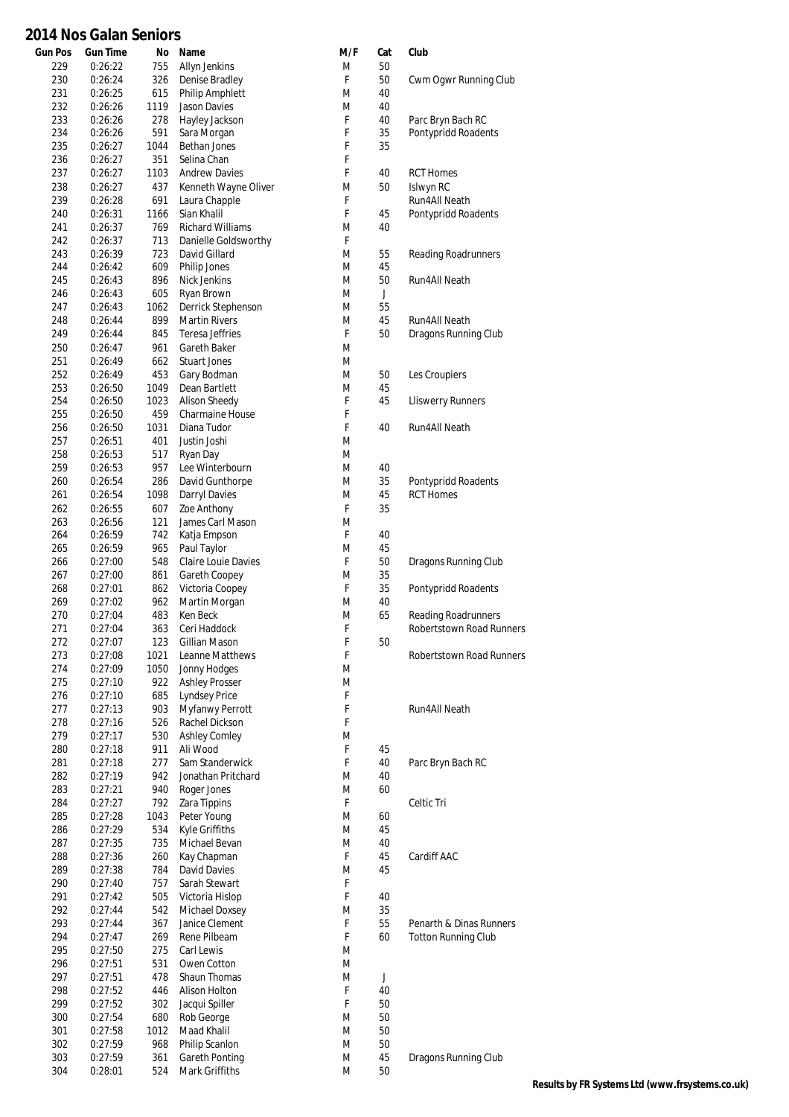#### **Gun Pos Gun Time No Name M/F Cat Club 2014 Nos Galan Seniors**

| 229 | 0:26:22 | 755  | Allyn Jenkins           | M  | 50          |                                 |
|-----|---------|------|-------------------------|----|-------------|---------------------------------|
| 230 | 0:26:24 | 326  | Denise Bradley          | F  | 50          | Cwm Ogwr Running Club           |
|     |         |      |                         |    |             |                                 |
| 231 | 0:26:25 | 615  | Philip Amphlett         | M  | 40          |                                 |
| 232 | 0:26:26 | 1119 | Jason Davies            | M  | 40          |                                 |
| 233 | 0:26:26 | 278  | Hayley Jackson          | F  | 40          | Parc Bryn Bach RC               |
| 234 | 0:26:26 | 591  | Sara Morgan             | F  | 35          | Pontypridd Roadents             |
| 235 | 0:26:27 | 1044 | Bethan Jones            | F  | 35          |                                 |
| 236 | 0:26:27 | 351  | Selina Chan             | F  |             |                                 |
| 237 | 0:26:27 | 1103 | <b>Andrew Davies</b>    | F  | 40          | <b>RCT Homes</b>                |
| 238 | 0:26:27 | 437  | Kenneth Wayne Oliver    | M  | 50          | Islwyn RC                       |
| 239 | 0:26:28 | 691  | Laura Chapple           | F  |             | Run4All Neath                   |
| 240 | 0:26:31 | 1166 | Sian Khalil             | F. | 45          | Pontypridd Roadents             |
|     |         |      |                         |    |             |                                 |
| 241 | 0:26:37 | 769  | <b>Richard Williams</b> | M  | 40          |                                 |
| 242 | 0:26:37 | 713  | Danielle Goldsworthy    | F  |             |                                 |
| 243 | 0:26:39 | 723  | David Gillard           | M  | 55          | Reading Roadrunners             |
| 244 | 0:26:42 | 609  | Philip Jones            | M  | 45          |                                 |
| 245 | 0:26:43 | 896  | Nick Jenkins            | M  | 50          | Run4All Neath                   |
| 246 | 0:26:43 | 605  | Ryan Brown              | M  | $\mathsf J$ |                                 |
| 247 | 0:26:43 | 1062 | Derrick Stephenson      | M  | 55          |                                 |
| 248 | 0:26:44 | 899  | <b>Martin Rivers</b>    | M  | 45          | Run4All Neath                   |
| 249 | 0:26:44 | 845  | Teresa Jeffries         | F  | 50          | Dragons Running Club            |
|     |         |      |                         |    |             |                                 |
| 250 | 0:26:47 | 961  | Gareth Baker            | M  |             |                                 |
| 251 | 0:26:49 | 662  | <b>Stuart Jones</b>     | M  |             |                                 |
| 252 | 0:26:49 | 453  | Gary Bodman             | M  | 50          | Les Croupiers                   |
| 253 | 0:26:50 | 1049 | Dean Bartlett           | M  | 45          |                                 |
| 254 | 0:26:50 | 1023 | <b>Alison Sheedy</b>    | F  | 45          | <b>Lliswerry Runners</b>        |
| 255 | 0:26:50 | 459  | Charmaine House         | F  |             |                                 |
| 256 | 0:26:50 | 1031 | Diana Tudor             | F  | 40          | Run4All Neath                   |
| 257 | 0:26:51 | 401  | Justin Joshi            | M  |             |                                 |
| 258 | 0:26:53 | 517  |                         | M  |             |                                 |
|     |         |      | Ryan Day                |    |             |                                 |
| 259 | 0:26:53 | 957  | Lee Winterbourn         | M  | 40          |                                 |
| 260 | 0:26:54 | 286  | David Gunthorpe         | M  | 35          | Pontypridd Roadents             |
| 261 | 0:26:54 | 1098 | Darryl Davies           | M  | 45          | <b>RCT Homes</b>                |
| 262 | 0:26:55 | 607  | Zoe Anthony             | F  | 35          |                                 |
| 263 | 0:26:56 | 121  | James Carl Mason        | M  |             |                                 |
| 264 | 0:26:59 | 742  | Katja Empson            | F. | 40          |                                 |
| 265 | 0:26:59 | 965  | Paul Taylor             | M  | 45          |                                 |
| 266 |         | 548  | Claire Louie Davies     | F  | 50          |                                 |
|     | 0:27:00 |      |                         |    |             | Dragons Running Club            |
| 267 | 0:27:00 | 861  | Gareth Coopey           | M  | 35          |                                 |
| 268 | 0:27:01 | 862  | Victoria Coopey         | F  | 35          | Pontypridd Roadents             |
| 269 | 0:27:02 | 962  | Martin Morgan           | M  | 40          |                                 |
| 270 | 0:27:04 | 483  | Ken Beck                | M  | 65          | Reading Roadrunners             |
| 271 | 0:27:04 | 363  | Ceri Haddock            | F  |             | <b>Robertstown Road Runners</b> |
| 272 | 0:27:07 | 123  | Gillian Mason           | F  | 50          |                                 |
| 273 | 0:27:08 | 1021 | Leanne Matthews         | F  |             | Robertstown Road Runners        |
|     |         | 1050 | Jonny Hodges            | M  |             |                                 |
| 274 | 0:27:09 |      |                         |    |             |                                 |
| 275 | 0:27:10 | 922  | <b>Ashley Prosser</b>   | M  |             |                                 |
| 276 | 0:27:10 | 685  | <b>Lyndsey Price</b>    | F  |             |                                 |
| 277 | 0:27:13 | 903  | Myfanwy Perrott         | F  |             | <b>Run4All Neath</b>            |
| 278 | 0:27:16 | 526  | Rachel Dickson          | F  |             |                                 |
| 279 | 0:27:17 | 530  | <b>Ashley Comley</b>    | M  |             |                                 |
| 280 | 0:27:18 | 911  | Ali Wood                | F  | 45          |                                 |
| 281 | 0:27:18 | 277  | Sam Standerwick         | F  | 40          | Parc Bryn Bach RC               |
| 282 | 0:27:19 | 942  | Jonathan Pritchard      | M  | 40          |                                 |
|     |         |      |                         |    |             |                                 |
| 283 | 0:27:21 | 940  | Roger Jones             | M  | 60          |                                 |
| 284 | 0:27:27 | 792  | Zara Tippins            | F  |             | Celtic Tri                      |
| 285 | 0:27:28 | 1043 | Peter Young             | M  | 60          |                                 |
| 286 | 0:27:29 | 534  | Kyle Griffiths          | M  | 45          |                                 |
| 287 | 0:27:35 | 735  | Michael Bevan           | M  | 40          |                                 |
| 288 | 0:27:36 | 260  | Kay Chapman             | F  | 45          | Cardiff AAC                     |
| 289 | 0:27:38 | 784  | David Davies            | M  | 45          |                                 |
| 290 | 0:27:40 | 757  | Sarah Stewart           | F  |             |                                 |
| 291 |         | 505  |                         | F  | 40          |                                 |
|     | 0:27:42 |      | Victoria Hislop         |    |             |                                 |
| 292 | 0:27:44 | 542  | Michael Doxsey          | M  | 35          |                                 |
| 293 | 0:27:44 | 367  | Janice Clement          | F  | 55          | Penarth & Dinas Runners         |
| 294 | 0:27:47 | 269  | Rene Pilbeam            | F  | 60          | <b>Totton Running Club</b>      |
| 295 | 0:27:50 | 275  | Carl Lewis              | M  |             |                                 |
| 296 | 0:27:51 | 531  | Owen Cotton             | M  |             |                                 |
| 297 | 0:27:51 | 478  | Shaun Thomas            | M  | $\mathsf J$ |                                 |
| 298 | 0:27:52 | 446  | Alison Holton           | F  | 40          |                                 |
| 299 | 0:27:52 | 302  | Jacqui Spiller          | F  | 50          |                                 |
|     |         |      |                         |    |             |                                 |
| 300 | 0:27:54 | 680  | Rob George              | M  | 50          |                                 |
| 301 | 0:27:58 | 1012 | Maad Khalil             | M  | 50          |                                 |
| 302 | 0:27:59 | 968  | Philip Scanlon          | M  | 50          |                                 |
| 303 | 0:27:59 | 361  | Gareth Ponting          | M  | 45          | Dragons Running Club            |
| 304 | 0:28:01 | 524  | Mark Griffiths          | M  | 50          |                                 |
|     |         |      |                         |    |             |                                 |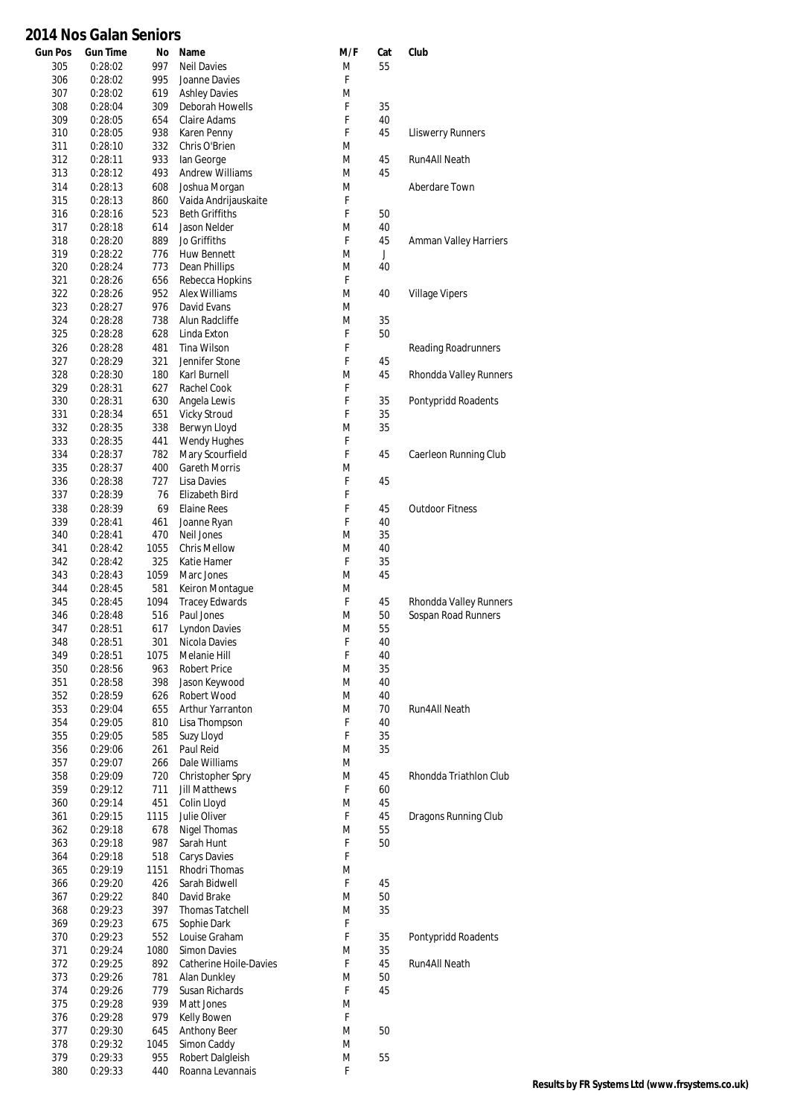| <b>Gun Pos</b> | <b>Gun Time</b>    | No          | Name                                          | M/F    | Cat      | Club                     |
|----------------|--------------------|-------------|-----------------------------------------------|--------|----------|--------------------------|
| 305            | 0:28:02            | 997         | <b>Neil Davies</b>                            | M      | 55       |                          |
| 306            | 0:28:02            | 995         | Joanne Davies                                 | F      |          |                          |
| 307            | 0:28:02            | 619         | <b>Ashley Davies</b>                          | M      |          |                          |
| 308            | 0:28:04            | 309         | Deborah Howells                               | F      | 35       |                          |
| 309            | 0:28:05            | 654         | Claire Adams                                  | F      | 40       |                          |
| 310            | 0:28:05            | 938         | Karen Penny                                   | F      | 45       | <b>Lliswerry Runners</b> |
| 311            | 0:28:10            | 332         | Chris O'Brien                                 | M      |          |                          |
| 312            | 0:28:11            | 933         | lan George                                    | M      | 45       | Run4All Neath            |
| 313            | 0:28:12            | 493         | <b>Andrew Williams</b>                        | M      | 45       |                          |
| 314            | 0:28:13            | 608         | Joshua Morgan                                 | M      |          | Aberdare Town            |
| 315<br>316     | 0:28:13<br>0:28:16 | 860<br>523  | Vaida Andrijauskaite<br><b>Beth Griffiths</b> | F<br>F | 50       |                          |
| 317            | 0:28:18            | 614         | Jason Nelder                                  | M      | 40       |                          |
| 318            | 0:28:20            | 889         | Jo Griffiths                                  | F      | 45       | Amman Valley Harriers    |
| 319            | 0:28:22            | 776         | Huw Bennett                                   | M      | J        |                          |
| 320            | 0:28:24            | 773         | Dean Phillips                                 | M      | 40       |                          |
| 321            | 0:28:26            | 656         | Rebecca Hopkins                               | F      |          |                          |
| 322            | 0:28:26            | 952         | Alex Williams                                 | M      | 40       | <b>Village Vipers</b>    |
| 323            | 0:28:27            | 976         | David Evans                                   | M      |          |                          |
| 324            | 0:28:28            | 738         | Alun Radcliffe                                | M      | 35       |                          |
| 325            | 0:28:28            | 628         | Linda Exton                                   | F      | 50       |                          |
| 326            | 0:28:28            | 481         | Tina Wilson                                   | F      |          | Reading Roadrunners      |
| 327            | 0:28:29            | 321         | Jennifer Stone                                | F      | 45       |                          |
| 328            | 0:28:30            | 180         | Karl Burnell                                  | M      | 45       | Rhondda Valley Runners   |
| 329            | 0:28:31            | 627         | Rachel Cook                                   | F      |          |                          |
| 330            | 0:28:31            | 630         | Angela Lewis                                  | F      | 35       | Pontypridd Roadents      |
| 331            | 0:28:34            | 651         | <b>Vicky Stroud</b>                           | F      | 35       |                          |
| 332            | 0:28:35            | 338         | Berwyn Lloyd                                  | M      | 35       |                          |
| 333            | 0:28:35            | 441         | Wendy Hughes                                  | F      |          |                          |
| 334            | 0:28:37            | 782         | Mary Scourfield                               | F      | 45       | Caerleon Running Club    |
| 335            | 0:28:37            | 400         | <b>Gareth Morris</b>                          | M      |          |                          |
| 336            | 0:28:38            | 727         | Lisa Davies                                   | F      | 45       |                          |
| 337            | 0:28:39            | 76          | Elizabeth Bird                                | F      |          |                          |
| 338            | 0:28:39            | 69          | <b>Elaine Rees</b>                            | F      | 45       | <b>Outdoor Fitness</b>   |
| 339            | 0:28:41            | 461         | Joanne Ryan                                   | F      | 40       |                          |
| 340            | 0:28:41            | 470         | Neil Jones<br><b>Chris Mellow</b>             | M      | 35       |                          |
| 341<br>342     | 0:28:42<br>0:28:42 | 1055<br>325 | Katie Hamer                                   | M<br>F | 40<br>35 |                          |
| 343            | 0:28:43            | 1059        | Marc Jones                                    | M      | 45       |                          |
| 344            | 0:28:45            | 581         | Keiron Montaque                               | M      |          |                          |
| 345            | 0:28:45            | 1094        | <b>Tracey Edwards</b>                         | F      | 45       | Rhondda Valley Runners   |
| 346            | 0:28:48            | 516         | Paul Jones                                    | M      | 50       | Sospan Road Runners      |
| 347            | 0:28:51            | 617         | <b>Lyndon Davies</b>                          | M      | 55       |                          |
| 348            | 0:28:51            | 301         | Nicola Davies                                 | F      | 40       |                          |
| 349            | 0:28:51            | 1075        | Melanie Hill                                  | F      | 40       |                          |
| 350            | 0:28:56            | 963         | <b>Robert Price</b>                           | M      | 35       |                          |
| 351            | 0:28:58            | 398         | Jason Keywood                                 | M      | 40       |                          |
| 352            | 0:28:59            | 626         | Robert Wood                                   | M      | 40       |                          |
| 353            | 0:29:04            | 655         | Arthur Yarranton                              | M      | 70       | Run4All Neath            |
| 354            | 0:29:05            | 810         | Lisa Thompson                                 | F      | 40       |                          |
| 355            | 0:29:05            | 585         | Suzy Lloyd                                    | F      | 35       |                          |
| 356            | 0:29:06            | 261         | Paul Reid                                     | M      | 35       |                          |
| 357            | 0:29:07            | 266         | Dale Williams                                 | M      |          |                          |
| 358            | 0:29:09            | 720         | Christopher Spry                              | M      | 45       | Rhondda Triathlon Club   |
| 359<br>360     | 0:29:12<br>0:29:14 | 711<br>451  | <b>Jill Matthews</b><br>Colin Lloyd           | F<br>M | 60<br>45 |                          |
| 361            | 0:29:15            | 1115        | Julie Oliver                                  | F      | 45       | Dragons Running Club     |
| 362            | 0:29:18            | 678         | Nigel Thomas                                  | M      | 55       |                          |
| 363            | 0:29:18            | 987         | Sarah Hunt                                    | F      | 50       |                          |
| 364            | 0:29:18            | 518         | Carys Davies                                  | F      |          |                          |
| 365            | 0:29:19            | 1151        | Rhodri Thomas                                 | M      |          |                          |
| 366            | 0:29:20            | 426         | Sarah Bidwell                                 | F      | 45       |                          |
| 367            | 0:29:22            | 840         | David Brake                                   | M      | 50       |                          |
| 368            | 0:29:23            | 397         | <b>Thomas Tatchell</b>                        | M      | 35       |                          |
| 369            | 0:29:23            | 675         | Sophie Dark                                   | F      |          |                          |
| 370            | 0:29:23            | 552         | Louise Graham                                 | F      | 35       | Pontypridd Roadents      |
| 371            | 0:29:24            | 1080        | <b>Simon Davies</b>                           | M      | 35       |                          |
| 372            | 0:29:25            | 892         | Catherine Hoile-Davies                        | F      | 45       | Run4All Neath            |
| 373            | 0:29:26            | 781         | Alan Dunkley                                  | M      | 50       |                          |
| 374            | 0:29:26            | 779         | Susan Richards                                | F      | 45       |                          |
| 375            | 0:29:28            | 939         | Matt Jones                                    | M      |          |                          |
| 376            | 0:29:28            | 979         | Kelly Bowen                                   | F      |          |                          |
| 377            | 0:29:30            | 645         | <b>Anthony Beer</b>                           | M      | 50       |                          |
| 378<br>379     | 0:29:32<br>0:29:33 | 1045<br>955 | Simon Caddy<br>Robert Dalgleish               | M<br>M | 55       |                          |
| 380            | 0:29:33            | 440         | Roanna Levannais                              | F      |          |                          |
|                |                    |             |                                               |        |          |                          |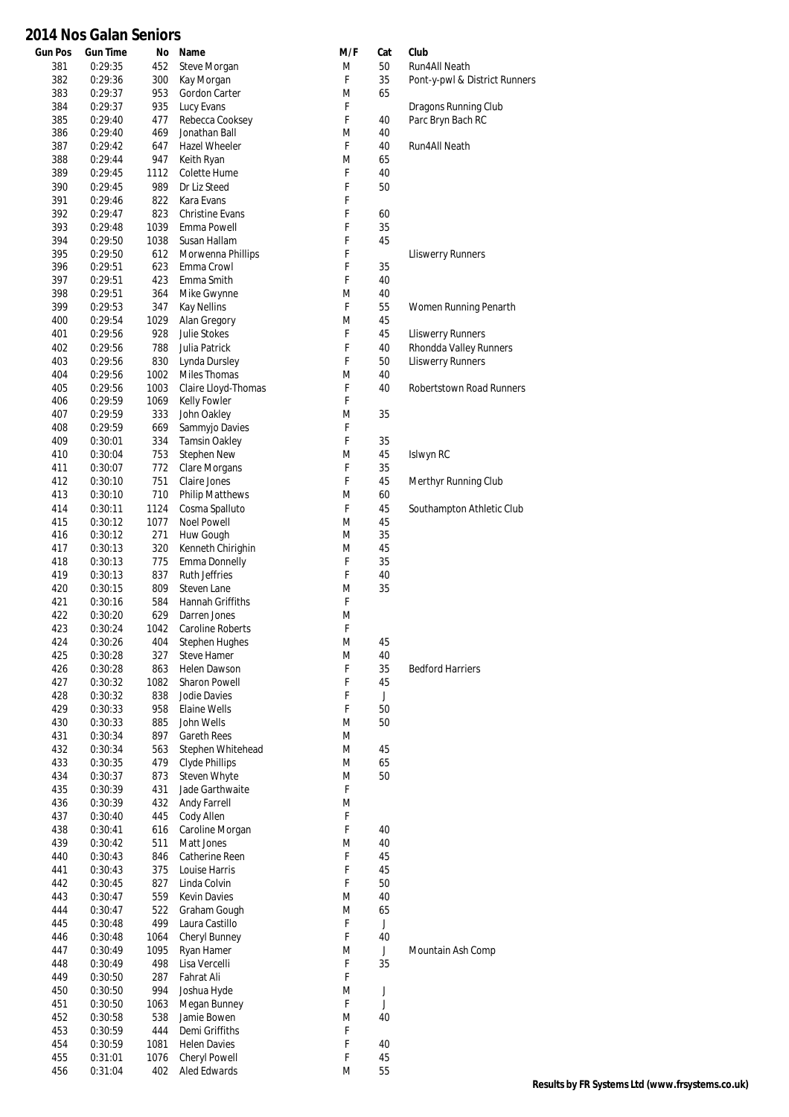#### **Gun Pos Gun Time No Name M/F Cat Club 2014 Nos Galan Seniors**

| 381        | 0:29:35            | 452         | Steve Morgan                        | M      | 50          | <b>Run4All Neath</b>          |
|------------|--------------------|-------------|-------------------------------------|--------|-------------|-------------------------------|
| 382        | 0:29:36            | 300         | Kay Morgan                          | F      | 35          | Pont-y-pwl & District Runners |
| 383        | 0:29:37            | 953         | Gordon Carter                       | M      | 65          |                               |
| 384        | 0:29:37            | 935         | Lucy Evans                          | F      |             | Dragons Running Club          |
| 385<br>386 | 0:29:40<br>0:29:40 | 477<br>469  | Rebecca Cooksey<br>Jonathan Ball    | F<br>M | 40<br>40    | Parc Bryn Bach RC             |
| 387        | 0:29:42            | 647         | Hazel Wheeler                       | F      | 40          | <b>Run4All Neath</b>          |
| 388        | 0:29:44            | 947         | Keith Ryan                          | M      | 65          |                               |
| 389        | 0:29:45            | 1112        | Colette Hume                        | F      | 40          |                               |
| 390        | 0:29:45            | 989         | Dr Liz Steed                        | F      | 50          |                               |
| 391        | 0:29:46            | 822         | Kara Evans                          | F      |             |                               |
| 392        | 0:29:47            | 823         | <b>Christine Evans</b>              | F      | 60          |                               |
| 393        | 0:29:48            | 1039        | Emma Powell                         | F      | 35          |                               |
| 394        | 0:29:50            | 1038        | Susan Hallam                        | F      | 45          |                               |
| 395        | 0:29:50            | 612         | Morwenna Phillips                   | F      |             | <b>Lliswerry Runners</b>      |
| 396        | 0:29:51            | 623         | Emma Crowl                          | F      | 35          |                               |
| 397        | 0:29:51            | 423         | Emma Smith                          | F      | 40          |                               |
| 398        | 0:29:51            | 364         | Mike Gwynne                         | M      | 40          |                               |
| 399        | 0:29:53            | 347         | <b>Kay Nellins</b>                  | F      | 55          | Women Running Penarth         |
| 400<br>401 | 0:29:54<br>0:29:56 | 1029<br>928 | Alan Gregory<br>Julie Stokes        | M<br>F | 45<br>45    | <b>Lliswerry Runners</b>      |
| 402        | 0:29:56            | 788         | Julia Patrick                       | F      | 40          | Rhondda Valley Runners        |
| 403        | 0:29:56            | 830         | Lynda Dursley                       | F      | 50          | <b>Lliswerry Runners</b>      |
| 404        | 0:29:56            | 1002        | Miles Thomas                        | M      | 40          |                               |
| 405        | 0:29:56            | 1003        | Claire Lloyd-Thomas                 | F      | 40          | Robertstown Road Runners      |
| 406        | 0:29:59            | 1069        | Kelly Fowler                        | F      |             |                               |
| 407        | 0:29:59            | 333         | John Oakley                         | M      | 35          |                               |
| 408        | 0:29:59            | 669         | Sammyjo Davies                      | F      |             |                               |
| 409        | 0:30:01            | 334         | <b>Tamsin Oakley</b>                | F      | 35          |                               |
| 410        | 0:30:04            | 753         | Stephen New                         | M      | 45          | Islwyn RC                     |
| 411        | 0:30:07            | 772         | Clare Morgans                       | F      | 35          |                               |
| 412        | 0:30:10            | 751         | Claire Jones                        | F      | 45          | Merthyr Running Club          |
| 413        | 0:30:10            | 710         | <b>Philip Matthews</b>              | M      | 60          |                               |
| 414        | 0:30:11            | 1124        | Cosma Spalluto                      | F      | 45          | Southampton Athletic Club     |
| 415<br>416 | 0:30:12<br>0:30:12 | 1077<br>271 | <b>Noel Powell</b>                  | M<br>M | 45<br>35    |                               |
| 417        | 0:30:13            | 320         | Huw Gough<br>Kenneth Chirighin      | M      | 45          |                               |
| 418        | 0:30:13            | 775         | Emma Donnelly                       | F      | 35          |                               |
| 419        | 0:30:13            | 837         | <b>Ruth Jeffries</b>                | F      | 40          |                               |
| 420        | 0:30:15            | 809         | Steven Lane                         | M      | 35          |                               |
| 421        | 0:30:16            | 584         | Hannah Griffiths                    | F      |             |                               |
| 422        | 0:30:20            | 629         | Darren Jones                        | M      |             |                               |
| 423        | 0:30:24            | 1042        | Caroline Roberts                    | F      |             |                               |
| 424        | 0:30:26            | 404         | <b>Stephen Hughes</b>               | M      | 45          |                               |
| 425        | 0:30:28            | 327         | Steve Hamer                         | M      | 40          |                               |
| 426        | 0:30:28            | 863         | Helen Dawson                        | F      | 35          | <b>Bedford Harriers</b>       |
| 427        | 0:30:32            | 1082        | Sharon Powell                       | F      | 45          |                               |
| 428        | 0:30:32            | 838         | Jodie Davies                        | F<br>F | J           |                               |
| 429<br>430 | 0:30:33<br>0:30:33 | 958<br>885  | Elaine Wells<br>John Wells          | M      | 50<br>50    |                               |
| 431        | 0:30:34            | 897         | <b>Gareth Rees</b>                  | M      |             |                               |
| 432        | 0:30:34            | 563         | Stephen Whitehead                   | M      | 45          |                               |
| 433        | 0:30:35            | 479         | Clyde Phillips                      | M      | 65          |                               |
| 434        | 0:30:37            | 873         | <b>Steven Whyte</b>                 | M      | 50          |                               |
| 435        | 0:30:39            | 431         | Jade Garthwaite                     | F      |             |                               |
| 436        | 0:30:39            | 432         | <b>Andy Farrell</b>                 | M      |             |                               |
| 437        | 0:30:40            | 445         | Cody Allen                          | F      |             |                               |
| 438        | 0:30:41            | 616         | Caroline Morgan                     | F      | 40          |                               |
| 439        | 0:30:42            | 511         | Matt Jones                          | M      | 40          |                               |
| 440        | 0:30:43            | 846         | Catherine Reen                      | F      | 45          |                               |
| 441        | 0:30:43            | 375         | Louise Harris                       | F<br>F | 45          |                               |
| 442<br>443 | 0:30:45<br>0:30:47 | 827<br>559  | Linda Colvin<br><b>Kevin Davies</b> | M      | 50<br>40    |                               |
| 444        | 0:30:47            | 522         | Graham Gough                        | M      | 65          |                               |
| 445        | 0:30:48            | 499         | Laura Castillo                      | F      | $\mathsf J$ |                               |
| 446        | 0:30:48            | 1064        | Cheryl Bunney                       | F      | 40          |                               |
| 447        | 0:30:49            | 1095        | Ryan Hamer                          | M      | J           | Mountain Ash Comp             |
| 448        | 0:30:49            | 498         | Lisa Vercelli                       | F      | 35          |                               |
| 449        | 0:30:50            | 287         | Fahrat Ali                          | F      |             |                               |
| 450        | 0:30:50            | 994         | Joshua Hyde                         | M      | J           |                               |
| 451        | 0:30:50            | 1063        | Megan Bunney                        | F      | J           |                               |
| 452        | 0:30:58            | 538         | Jamie Bowen                         | M      | 40          |                               |
| 453        | 0:30:59            | 444         | Demi Griffiths                      | F      |             |                               |
| 454        | 0:30:59            | 1081        | <b>Helen Davies</b>                 | F      | 40          |                               |
| 455        | 0:31:01            | 1076        | Cheryl Powell                       | F      | 45          |                               |
| 456        | 0:31:04            | 402         | Aled Edwards                        | M      | 55          |                               |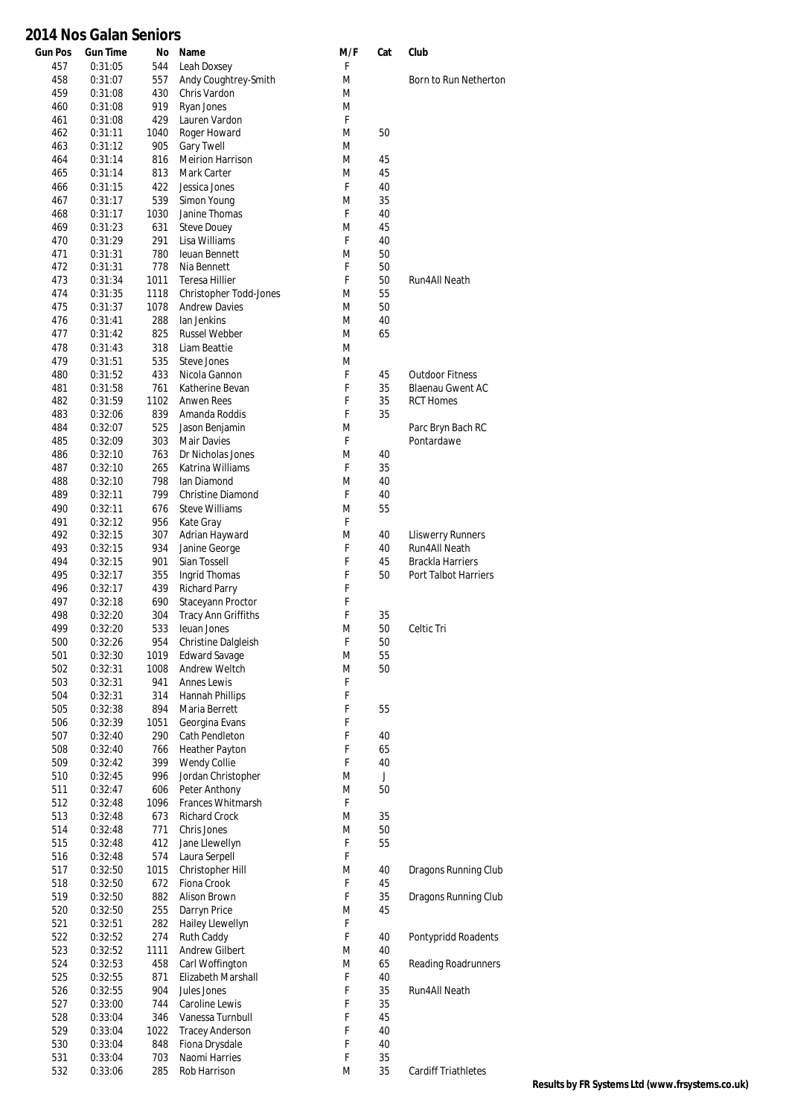| <b>Gun Pos</b> | <b>Gun Time</b>    | No          | Name                                  | M/F    | Cat      | Club                       |
|----------------|--------------------|-------------|---------------------------------------|--------|----------|----------------------------|
| 457            | 0:31:05            | 544         | Leah Doxsey                           | F      |          |                            |
| 458            | 0:31:07            | 557         | Andy Coughtrey-Smith                  | M      |          | Born to Run Netherton      |
| 459            | 0:31:08            | 430         | Chris Vardon                          | M      |          |                            |
| 460            | 0:31:08            | 919         | Ryan Jones                            | M      |          |                            |
| 461            | 0:31:08            | 429         | Lauren Vardon                         | F      |          |                            |
| 462            | 0:31:11            | 1040        | Roger Howard                          | M      | 50       |                            |
| 463            | 0:31:12            | 905         | <b>Gary Twell</b>                     | M      |          |                            |
| 464            | 0:31:14            | 816         | <b>Meirion Harrison</b>               | M      | 45       |                            |
| 465            | 0:31:14            | 813         | Mark Carter                           | M      | 45       |                            |
| 466            | 0:31:15            | 422         | Jessica Jones                         | F      | 40       |                            |
| 467<br>468     | 0:31:17<br>0:31:17 | 539<br>1030 | Simon Young<br>Janine Thomas          | M<br>F | 35<br>40 |                            |
| 469            | 0:31:23            | 631         | <b>Steve Douey</b>                    | M      | 45       |                            |
| 470            | 0:31:29            | 291         | Lisa Williams                         | F      | 40       |                            |
| 471            | 0:31:31            | 780         | leuan Bennett                         | M      | 50       |                            |
| 472            | 0:31:31            | 778         | Nia Bennett                           | F      | 50       |                            |
| 473            | 0:31:34            | 1011        | <b>Teresa Hillier</b>                 | F      | 50       | Run4All Neath              |
| 474            | 0:31:35            | 1118        | Christopher Todd-Jones                | M      | 55       |                            |
| 475            | 0:31:37            | 1078        | <b>Andrew Davies</b>                  | M      | 50       |                            |
| 476            | 0:31:41            | 288         | lan Jenkins                           | M      | 40       |                            |
| 477            | 0:31:42            | 825         | <b>Russel Webber</b>                  | M      | 65       |                            |
| 478            | 0:31:43            | 318         | Liam Beattie                          | M      |          |                            |
| 479            | 0:31:51            | 535         | Steve Jones                           | M      |          |                            |
| 480            | 0:31:52            | 433         | Nicola Gannon                         | F      | 45       | <b>Outdoor Fitness</b>     |
| 481            | 0:31:58            | 761         | Katherine Bevan                       | F      | 35       | <b>Blaenau Gwent AC</b>    |
| 482            | 0:31:59            | 1102        | <b>Anwen Rees</b>                     | F      | 35       | <b>RCT Homes</b>           |
| 483            | 0:32:06            | 839         | Amanda Roddis                         | F      | 35       |                            |
| 484            | 0:32:07            | 525         | Jason Benjamin                        | M      |          | Parc Bryn Bach RC          |
| 485            | 0:32:09            | 303         | <b>Mair Davies</b>                    | F      |          | Pontardawe                 |
| 486<br>487     | 0:32:10<br>0:32:10 | 763<br>265  | Dr Nicholas Jones<br>Katrina Williams | M<br>F | 40<br>35 |                            |
| 488            | 0:32:10            | 798         | lan Diamond                           | M      | 40       |                            |
| 489            | 0:32:11            | 799         | <b>Christine Diamond</b>              | F      | 40       |                            |
| 490            | 0:32:11            | 676         | <b>Steve Williams</b>                 | M      | 55       |                            |
| 491            | 0:32:12            | 956         | Kate Gray                             | F      |          |                            |
| 492            | 0:32:15            | 307         | Adrian Hayward                        | M      | 40       | <b>Lliswerry Runners</b>   |
| 493            | 0:32:15            | 934         | Janine George                         | F      | 40       | Run4All Neath              |
| 494            | 0:32:15            | 901         | Sian Tossell                          | F      | 45       | Brackla Harriers           |
| 495            | 0:32:17            | 355         | Ingrid Thomas                         | F      | 50       | Port Talbot Harriers       |
| 496            | 0:32:17            | 439         | <b>Richard Parry</b>                  | F      |          |                            |
| 497            | 0:32:18            | 690         | Staceyann Proctor                     | F      |          |                            |
| 498            | 0:32:20            | 304         | <b>Tracy Ann Griffiths</b>            | F      | 35       |                            |
| 499            | 0:32:20            | 533         | leuan Jones                           | M      | 50       | Celtic Tri                 |
| 500            | 0:32:26            | 954         | Christine Dalgleish                   | F      | 50       |                            |
| 501            | 0:32:30            | 1019        | <b>Edward Savage</b>                  | M      | 55       |                            |
| 502            | 0:32:31            | 1008        | Andrew Weltch                         | M      | 50       |                            |
| 503            | 0:32:31            | 941         | <b>Annes Lewis</b>                    | F      |          |                            |
| 504            | 0:32:31            | 314         | Hannah Phillips                       | F      |          |                            |
| 505<br>506     | 0:32:38<br>0:32:39 | 894<br>1051 | Maria Berrett<br>Georgina Evans       | F<br>F | 55       |                            |
| 507            | 0:32:40            | 290         | Cath Pendleton                        | F      | 40       |                            |
| 508            | 0:32:40            | 766         | Heather Payton                        | F      | 65       |                            |
| 509            | 0:32:42            | 399         | Wendy Collie                          | F      | 40       |                            |
| 510            | 0:32:45            | 996         | Jordan Christopher                    | M      | J        |                            |
| 511            | 0:32:47            | 606         | Peter Anthony                         | M      | 50       |                            |
| 512            | 0:32:48            | 1096        | Frances Whitmarsh                     | F      |          |                            |
| 513            | 0:32:48            | 673         | Richard Crock                         | M      | 35       |                            |
| 514            | 0:32:48            | 771         | Chris Jones                           | M      | 50       |                            |
| 515            | 0:32:48            | 412         | Jane Llewellyn                        | F      | 55       |                            |
| 516            | 0:32:48            | 574         | Laura Serpell                         | F      |          |                            |
| 517            | 0:32:50            | 1015        | Christopher Hill                      | M      | 40       | Dragons Running Club       |
| 518            | 0:32:50            | 672         | Fiona Crook                           | F      | 45       |                            |
| 519            | 0:32:50            | 882         | Alison Brown                          | F      | 35       | Dragons Running Club       |
| 520            | 0:32:50            | 255         | Darryn Price                          | M      | 45       |                            |
| 521            | 0:32:51            | 282         | Hailey Llewellyn                      | F<br>F |          |                            |
| 522<br>523     | 0:32:52<br>0:32:52 | 274<br>1111 | Ruth Caddy<br>Andrew Gilbert          |        | 40<br>40 | Pontypridd Roadents        |
| 524            | 0:32:53            | 458         | Carl Woffington                       | M<br>M | 65       | <b>Reading Roadrunners</b> |
| 525            | 0:32:55            | 871         | Elizabeth Marshall                    | F      | 40       |                            |
| 526            | 0:32:55            | 904         | Jules Jones                           | F      | 35       | Run4All Neath              |
| 527            | 0:33:00            | 744         | Caroline Lewis                        | F      | 35       |                            |
| 528            | 0:33:04            | 346         | Vanessa Turnbull                      | F      | 45       |                            |
| 529            | 0:33:04            | 1022        | <b>Tracey Anderson</b>                | F      | 40       |                            |
| 530            | 0:33:04            | 848         | Fiona Drysdale                        | F      | 40       |                            |
| 531            | 0:33:04            | 703         | Naomi Harries                         | F      | 35       |                            |
| 532            | 0:33:06            | 285         | Rob Harrison                          | M      | 35       | <b>Cardiff Triathletes</b> |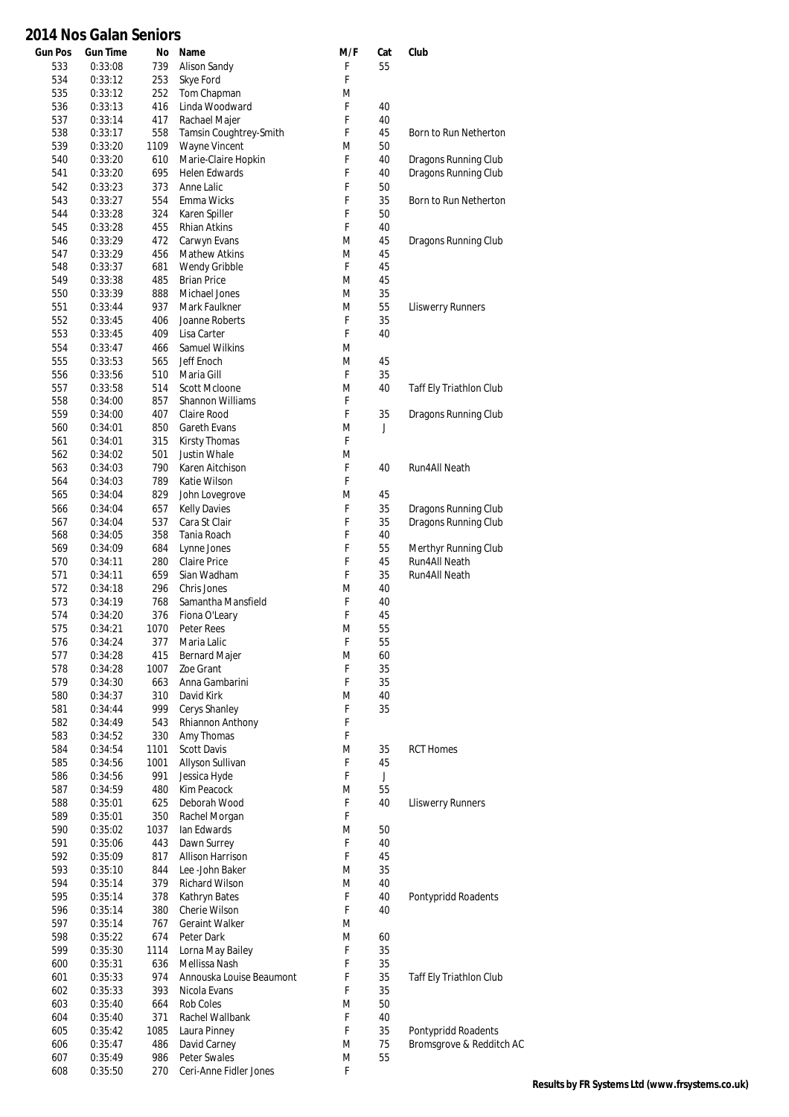| <b>Gun Pos</b> | <b>Gun Time</b>    | No          | Name                                | M/F    | Cat               | Club                     |
|----------------|--------------------|-------------|-------------------------------------|--------|-------------------|--------------------------|
| 533            | 0:33:08            | 739         | Alison Sandy                        | F      | 55                |                          |
| 534            | 0:33:12            | 253         | Skye Ford                           | F      |                   |                          |
| 535            | 0:33:12            | 252         | Tom Chapman                         | M      |                   |                          |
| 536<br>537     | 0:33:13<br>0:33:14 | 416<br>417  | Linda Woodward<br>Rachael Majer     | F<br>F | 40<br>40          |                          |
| 538            | 0:33:17            | 558         | Tamsin Coughtrey-Smith              | F      | 45                | Born to Run Netherton    |
| 539            | 0:33:20            | 1109        | Wayne Vincent                       | M      | 50                |                          |
| 540            | 0:33:20            | 610         | Marie-Claire Hopkin                 | F      | 40                | Dragons Running Club     |
| 541            | 0:33:20            | 695         | Helen Edwards                       | F      | 40                | Dragons Running Club     |
| 542            | 0:33:23            | 373         | Anne Lalic                          | F      | 50                |                          |
| 543            | 0:33:27            | 554         | Emma Wicks                          | F      | 35                | Born to Run Netherton    |
| 544<br>545     | 0:33:28<br>0:33:28 | 324<br>455  | Karen Spiller<br>Rhian Atkins       | F<br>F | 50<br>40          |                          |
| 546            | 0:33:29            | 472         | Carwyn Evans                        | M      | 45                | Dragons Running Club     |
| 547            | 0:33:29            | 456         | Mathew Atkins                       | M      | 45                |                          |
| 548            | 0:33:37            | 681         | Wendy Gribble                       | F      | 45                |                          |
| 549            | 0:33:38            | 485         | <b>Brian Price</b>                  | M      | 45                |                          |
| 550            | 0:33:39            | 888         | Michael Jones                       | M      | 35                |                          |
| 551            | 0:33:44            | 937         | Mark Faulkner                       | M      | 55                | <b>Lliswerry Runners</b> |
| 552<br>553     | 0:33:45<br>0:33:45 | 406<br>409  | Joanne Roberts<br>Lisa Carter       | F<br>F | 35<br>40          |                          |
| 554            | 0:33:47            | 466         | <b>Samuel Wilkins</b>               | M      |                   |                          |
| 555            | 0:33:53            | 565         | Jeff Enoch                          | M      | 45                |                          |
| 556            | 0:33:56            | 510         | Maria Gill                          | F      | 35                |                          |
| 557            | 0:33:58            | 514         | Scott McIoone                       | M      | 40                | Taff Ely Triathlon Club  |
| 558            | 0:34:00            | 857         | <b>Shannon Williams</b>             | F      |                   |                          |
| 559            | 0:34:00            | 407         | Claire Rood                         | F      | 35                | Dragons Running Club     |
| 560            | 0:34:01            | 850         | Gareth Evans                        | M      | J                 |                          |
| 561            | 0:34:01            | 315         | <b>Kirsty Thomas</b>                | F      |                   |                          |
| 562            | 0:34:02            | 501         | <b>Justin Whale</b>                 | M      |                   |                          |
| 563            | 0:34:03            | 790         | Karen Aitchison                     | F<br>F | 40                | Run4All Neath            |
| 564<br>565     | 0:34:03<br>0:34:04 | 789<br>829  | Katie Wilson<br>John Lovegrove      | M      | 45                |                          |
| 566            | 0:34:04            | 657         | <b>Kelly Davies</b>                 | F      | 35                | Dragons Running Club     |
| 567            | 0:34:04            | 537         | Cara St Clair                       | F      | 35                | Dragons Running Club     |
| 568            | 0:34:05            | 358         | Tania Roach                         | F      | 40                |                          |
| 569            | 0:34:09            | 684         | Lynne Jones                         | F      | 55                | Merthyr Running Club     |
| 570            | 0:34:11            | 280         | <b>Claire Price</b>                 | F      | 45                | Run4All Neath            |
| 571            | 0:34:11            | 659         | Sian Wadham                         | F      | 35                | Run4All Neath            |
| 572            | 0:34:18            | 296         | Chris Jones                         | M      | 40                |                          |
| 573            | 0:34:19            | 768         | Samantha Mansfield                  | F      | 40                |                          |
| 574            | 0:34:20            | 376<br>1070 | Fiona O'Leary                       | F<br>M | 45                |                          |
| 575<br>576     | 0:34:21<br>0:34:24 | 377         | Peter Rees<br>Maria Lalic           | F      | 55<br>55          |                          |
| 577            | 0:34:28            | 415         | <b>Bernard Majer</b>                | M      | 60                |                          |
| 578            | 0:34:28            | 1007        | Zoe Grant                           | F      | 35                |                          |
| 579            | 0:34:30            | 663         | Anna Gambarini                      | F      | 35                |                          |
| 580            | 0:34:37            | 310         | David Kirk                          | M      | 40                |                          |
| 581            | 0:34:44            | 999         | Cerys Shanley                       | F      | 35                |                          |
| 582            | 0:34:49            | 543         | Rhiannon Anthony                    | F      |                   |                          |
| 583            | 0:34:52            | 330         | Amy Thomas                          | F      |                   |                          |
| 584            | 0:34:54            | 1101        | <b>Scott Davis</b>                  | M      | 35                | <b>RCT Homes</b>         |
| 585<br>586     | 0:34:56<br>0:34:56 | 1001<br>991 | Allyson Sullivan<br>Jessica Hyde    | F<br>F | 45<br>$\mathsf J$ |                          |
| 587            | 0:34:59            | 480         | Kim Peacock                         | M      | 55                |                          |
| 588            | 0:35:01            | 625         | Deborah Wood                        | F      | 40                | <b>Lliswerry Runners</b> |
| 589            | 0:35:01            | 350         | Rachel Morgan                       | F      |                   |                          |
| 590            | 0:35:02            | 1037        | lan Edwards                         | M      | 50                |                          |
| 591            | 0:35:06            | 443         | Dawn Surrey                         | F      | 40                |                          |
| 592            | 0:35:09            | 817         | Allison Harrison                    | F      | 45                |                          |
| 593            | 0:35:10            | 844         | Lee -John Baker                     | M      | 35                |                          |
| 594            | 0:35:14            | 379         | Richard Wilson                      | M      | 40                |                          |
| 595<br>596     | 0:35:14<br>0:35:14 | 378<br>380  | Kathryn Bates<br>Cherie Wilson      | F<br>F | 40<br>40          | Pontypridd Roadents      |
| 597            | 0:35:14            | 767         | <b>Geraint Walker</b>               | M      |                   |                          |
| 598            | 0:35:22            | 674         | Peter Dark                          | M      | 60                |                          |
| 599            | 0:35:30            | 1114        | Lorna May Bailey                    | F      | 35                |                          |
| 600            | 0:35:31            | 636         | Mellissa Nash                       | F      | 35                |                          |
| 601            | 0:35:33            | 974         | Annouska Louise Beaumont            | F      | 35                | Taff Ely Triathlon Club  |
| 602            | 0:35:33            | 393         | Nicola Evans                        | F      | 35                |                          |
| 603            | 0:35:40            | 664         | Rob Coles                           | M      | 50                |                          |
| 604            | 0:35:40            | 371         | Rachel Wallbank                     | F      | 40                |                          |
| 605            | 0:35:42            | 1085        | Laura Pinney                        | F      | 35                | Pontypridd Roadents      |
| 606<br>607     | 0:35:47<br>0:35:49 | 486<br>986  | David Carney<br><b>Peter Swales</b> | M<br>M | 75<br>55          | Bromsgrove & Redditch AC |
| 608            | 0:35:50            | 270         | Ceri-Anne Fidler Jones              | F      |                   |                          |
|                |                    |             |                                     |        |                   |                          |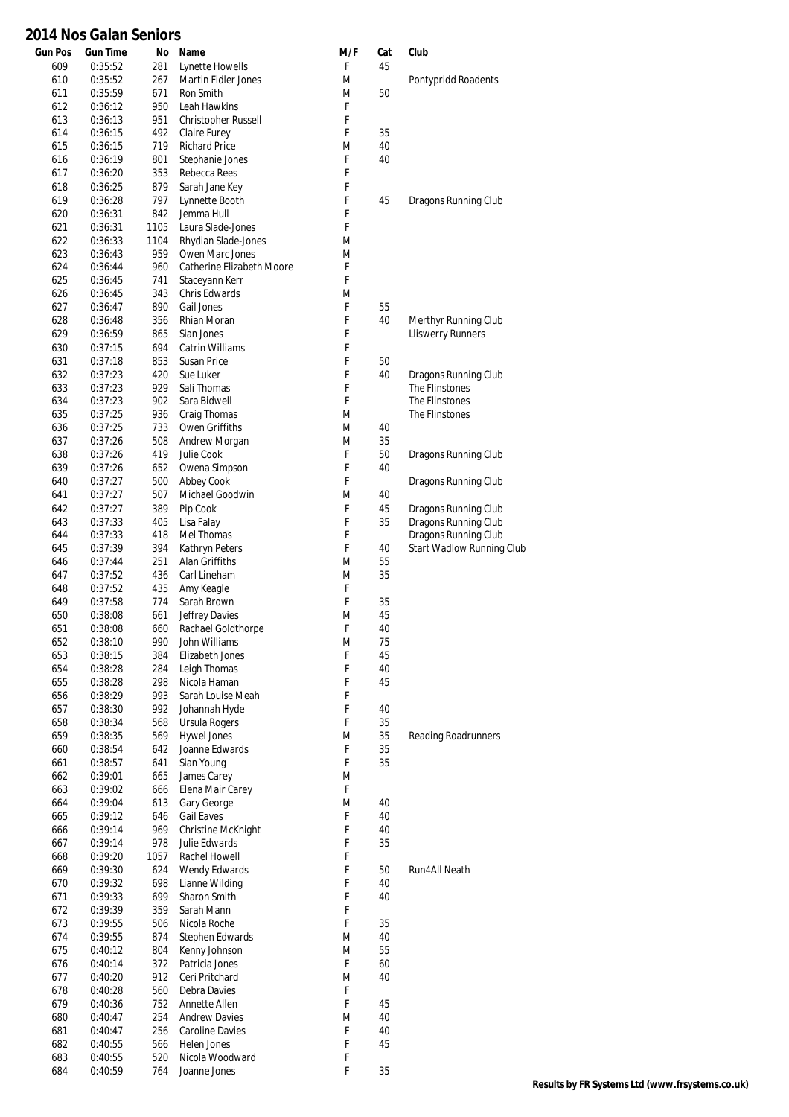| <b>Gun Pos</b> | <b>Gun Time</b>    | No         | Name                                    | M/F    | Cat | Club                                         |
|----------------|--------------------|------------|-----------------------------------------|--------|-----|----------------------------------------------|
| 609            | 0:35:52            | 281        | Lynette Howells                         | F      | 45  |                                              |
| 610            | 0:35:52            | 267        | <b>Martin Fidler Jones</b>              | M      |     | Pontypridd Roadents                          |
| 611            | 0:35:59            | 671        | Ron Smith                               | M      | 50  |                                              |
| 612            | 0:36:12            | 950        | Leah Hawkins                            | F      |     |                                              |
| 613            | 0:36:13            | 951        | <b>Christopher Russell</b>              | F      |     |                                              |
| 614            | 0:36:15            | 492        | Claire Furey                            | F      | 35  |                                              |
| 615            | 0:36:15            | 719        | <b>Richard Price</b>                    | M      | 40  |                                              |
| 616            | 0:36:19            | 801        | Stephanie Jones                         | F      | 40  |                                              |
| 617            | 0:36:20            | 353        | Rebecca Rees                            | F      |     |                                              |
| 618            | 0:36:25            | 879        | Sarah Jane Key                          | F      |     |                                              |
| 619            | 0:36:28            | 797        | Lynnette Booth                          | F      | 45  | Dragons Running Club                         |
| 620            | 0:36:31            | 842        | Jemma Hull                              | F      |     |                                              |
| 621            | 0:36:31            | 1105       | Laura Slade-Jones                       | F      |     |                                              |
| 622            | 0:36:33            | 1104       | Rhydian Slade-Jones                     | M      |     |                                              |
| 623            | 0:36:43            | 959        | Owen Marc Jones                         | M      |     |                                              |
| 624            | 0:36:44            | 960        | Catherine Elizabeth Moore               | F      |     |                                              |
| 625            | 0:36:45            | 741        | Staceyann Kerr                          | F      |     |                                              |
| 626            | 0:36:45            | 343        | Chris Edwards                           | M      |     |                                              |
| 627            | 0:36:47            | 890        | Gail Jones                              | F      | 55  |                                              |
| 628            | 0:36:48            | 356        | Rhian Moran                             | F      | 40  | Merthyr Running Club                         |
| 629            | 0:36:59            | 865        | Sian Jones                              | F      |     | <b>Lliswerry Runners</b>                     |
| 630            | 0:37:15            | 694        | Catrin Williams                         | F      |     |                                              |
| 631            | 0:37:18            | 853        | <b>Susan Price</b>                      | F      | 50  |                                              |
| 632            | 0:37:23            | 420        | Sue Luker                               | F      | 40  | Dragons Running Club                         |
| 633            | 0:37:23            | 929        | Sali Thomas                             | F      |     | The Flinstones                               |
| 634            | 0:37:23            | 902        | Sara Bidwell                            | F      |     | The Flinstones                               |
| 635            | 0:37:25            | 936        | Craig Thomas                            | M      |     | The Flinstones                               |
| 636            | 0:37:25            | 733        | Owen Griffiths                          | M      | 40  |                                              |
| 637            | 0:37:26            | 508        | Andrew Morgan                           | M      | 35  |                                              |
| 638            | 0:37:26            | 419        | Julie Cook                              | F      | 50  | Dragons Running Club                         |
| 639            | 0:37:26            | 652        | Owena Simpson                           | F<br>F | 40  |                                              |
| 640            | 0:37:27            | 500        | Abbey Cook                              | M      | 40  | Dragons Running Club                         |
| 641            | 0:37:27            | 507        | Michael Goodwin                         | F      |     |                                              |
| 642            | 0:37:27            | 389        | Pip Cook                                | F      | 45  | Dragons Running Club                         |
| 643<br>644     | 0:37:33            | 405<br>418 | Lisa Falay<br>Mel Thomas                | F      | 35  | Dragons Running Club<br>Dragons Running Club |
| 645            | 0:37:33<br>0:37:39 | 394        |                                         | F      | 40  | <b>Start Wadlow Running Club</b>             |
| 646            | 0:37:44            | 251        | Kathryn Peters<br><b>Alan Griffiths</b> | M      | 55  |                                              |
| 647            | 0:37:52            | 436        | Carl Lineham                            | M      | 35  |                                              |
| 648            | 0:37:52            | 435        | Amy Keagle                              | F      |     |                                              |
| 649            | 0:37:58            | 774        | Sarah Brown                             | F      | 35  |                                              |
| 650            | 0:38:08            | 661        | Jeffrey Davies                          | M      | 45  |                                              |
| 651            | 0:38:08            | 660        | Rachael Goldthorpe                      | F      | 40  |                                              |
| 652            | 0:38:10            | 990        | John Williams                           | M      | 75  |                                              |
| 653            | 0:38:15            | 384        | Elizabeth Jones                         | F      | 45  |                                              |
| 654            | 0:38:28            | 284        | Leigh Thomas                            | F      | 40  |                                              |
| 655            | 0:38:28            | 298        | Nicola Haman                            | F      | 45  |                                              |
| 656            | 0:38:29            | 993        | Sarah Louise Meah                       | F      |     |                                              |
| 657            | 0:38:30            | 992        | Johannah Hyde                           | F      | 40  |                                              |
| 658            | 0:38:34            | 568        | Ursula Rogers                           | F      | 35  |                                              |
| 659            | 0:38:35            | 569        | <b>Hywel Jones</b>                      | M      | 35  | <b>Reading Roadrunners</b>                   |
| 660            | 0:38:54            | 642        | Joanne Edwards                          | F      | 35  |                                              |
| 661            | 0:38:57            | 641        | Sian Young                              | F      | 35  |                                              |
| 662            | 0:39:01            | 665        | James Carey                             | M      |     |                                              |
| 663            | 0:39:02            | 666        | Elena Mair Carey                        | F      |     |                                              |
| 664            | 0:39:04            | 613        | Gary George                             | M      | 40  |                                              |
| 665            | 0:39:12            | 646        | <b>Gail Eaves</b>                       | F      | 40  |                                              |
| 666            | 0:39:14            | 969        | Christine McKnight                      | F      | 40  |                                              |
| 667            | 0:39:14            | 978        | Julie Edwards                           | F      | 35  |                                              |
| 668            | 0:39:20            | 1057       | Rachel Howell                           | F      |     |                                              |
| 669            | 0:39:30            | 624        | Wendy Edwards                           | F      | 50  | Run4All Neath                                |
| 670            | 0:39:32            | 698        | Lianne Wilding                          | F      | 40  |                                              |
| 671            | 0:39:33            | 699        | Sharon Smith                            | F      | 40  |                                              |
| 672            | 0:39:39            | 359        | Sarah Mann                              | F      |     |                                              |
| 673            | 0:39:55            | 506        | Nicola Roche                            | F      | 35  |                                              |
| 674            | 0:39:55            | 874        | Stephen Edwards                         | M      | 40  |                                              |
| 675            | 0:40:12            | 804        | Kenny Johnson                           | M      | 55  |                                              |
| 676            | 0:40:14            | 372        | Patricia Jones                          | F      | 60  |                                              |
| 677            | 0:40:20            | 912        | Ceri Pritchard                          | M      | 40  |                                              |
| 678            | 0:40:28            | 560        | Debra Davies                            | F      |     |                                              |
| 679            | 0:40:36            | 752        | Annette Allen                           | F      | 45  |                                              |
| 680            | 0:40:47            | 254        | <b>Andrew Davies</b>                    | M      | 40  |                                              |
| 681            | 0:40:47            | 256        | Caroline Davies                         | F      | 40  |                                              |
| 682            | 0:40:55            | 566        | Helen Jones                             | F      | 45  |                                              |
| 683            | 0:40:55            | 520        | Nicola Woodward                         | F      |     |                                              |
| 684            | 0:40:59            | 764        | Joanne Jones                            | F      | 35  |                                              |